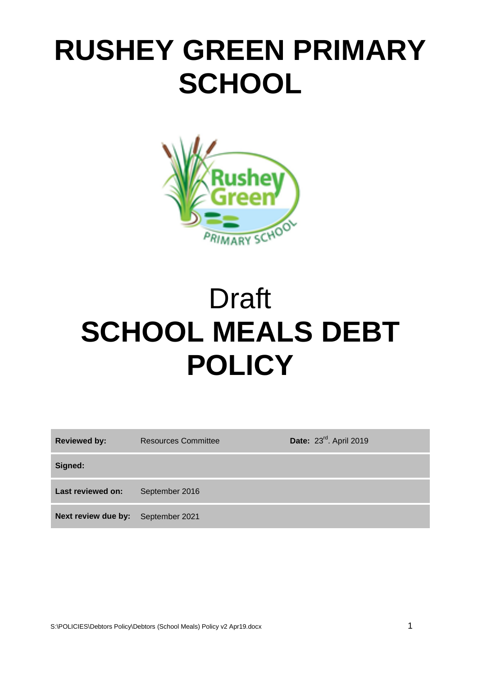# **RUSHEY GREEN PRIMARY SCHOOL**



# Draft **SCHOOL MEALS DEBT POLICY**

| <b>Reviewed by:</b>                | <b>Resources Committee</b> | Date: 23rd. April 2019 |
|------------------------------------|----------------------------|------------------------|
| Signed:                            |                            |                        |
| Last reviewed on:                  | September 2016             |                        |
| Next review due by: September 2021 |                            |                        |

S:\POLICIES\Debtors Policy\Debtors (School Meals) Policy v2 Apr19.docx 1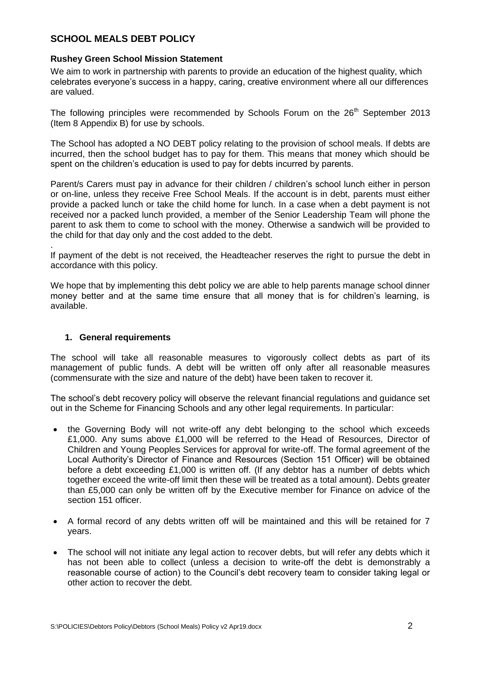## **SCHOOL MEALS DEBT POLICY**

#### **Rushey Green School Mission Statement**

We aim to work in partnership with parents to provide an education of the highest quality, which celebrates everyone's success in a happy, caring, creative environment where all our differences are valued.

The following principles were recommended by Schools Forum on the  $26<sup>th</sup>$  September 2013 (Item 8 Appendix B) for use by schools.

The School has adopted a NO DEBT policy relating to the provision of school meals. If debts are incurred, then the school budget has to pay for them. This means that money which should be spent on the children's education is used to pay for debts incurred by parents.

Parent/s Carers must pay in advance for their children / children's school lunch either in person or on-line, unless they receive Free School Meals. If the account is in debt, parents must either provide a packed lunch or take the child home for lunch. In a case when a debt payment is not received nor a packed lunch provided, a member of the Senior Leadership Team will phone the parent to ask them to come to school with the money. Otherwise a sandwich will be provided to the child for that day only and the cost added to the debt.

If payment of the debt is not received, the Headteacher reserves the right to pursue the debt in accordance with this policy.

We hope that by implementing this debt policy we are able to help parents manage school dinner money better and at the same time ensure that all money that is for children's learning, is available.

### **1. General requirements**

.

The school will take all reasonable measures to vigorously collect debts as part of its management of public funds. A debt will be written off only after all reasonable measures (commensurate with the size and nature of the debt) have been taken to recover it.

The school's debt recovery policy will observe the relevant financial regulations and guidance set out in the Scheme for Financing Schools and any other legal requirements. In particular:

- the Governing Body will not write-off any debt belonging to the school which exceeds £1,000. Any sums above £1,000 will be referred to the Head of Resources, Director of Children and Young Peoples Services for approval for write-off. The formal agreement of the Local Authority's Director of Finance and Resources (Section 151 Officer) will be obtained before a debt exceeding £1,000 is written off. (If any debtor has a number of debts which together exceed the write-off limit then these will be treated as a total amount). Debts greater than £5,000 can only be written off by the Executive member for Finance on advice of the section 151 officer.
- A formal record of any debts written off will be maintained and this will be retained for 7 years.
- The school will not initiate any legal action to recover debts, but will refer any debts which it has not been able to collect (unless a decision to write-off the debt is demonstrably a reasonable course of action) to the Council's debt recovery team to consider taking legal or other action to recover the debt.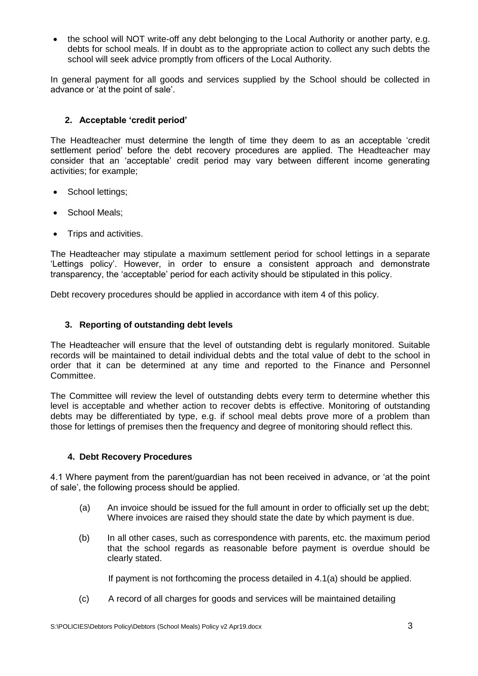• the school will NOT write-off any debt belonging to the Local Authority or another party, e.g. debts for school meals. If in doubt as to the appropriate action to collect any such debts the school will seek advice promptly from officers of the Local Authority.

In general payment for all goods and services supplied by the School should be collected in advance or 'at the point of sale'.

## **2. Acceptable 'credit period'**

The Headteacher must determine the length of time they deem to as an acceptable 'credit settlement period' before the debt recovery procedures are applied. The Headteacher may consider that an 'acceptable' credit period may vary between different income generating activities; for example;

- School lettings;
- School Meals;
- Trips and activities.

The Headteacher may stipulate a maximum settlement period for school lettings in a separate 'Lettings policy'. However, in order to ensure a consistent approach and demonstrate transparency, the 'acceptable' period for each activity should be stipulated in this policy.

Debt recovery procedures should be applied in accordance with item 4 of this policy.

## **3. Reporting of outstanding debt levels**

The Headteacher will ensure that the level of outstanding debt is regularly monitored. Suitable records will be maintained to detail individual debts and the total value of debt to the school in order that it can be determined at any time and reported to the Finance and Personnel Committee.

The Committee will review the level of outstanding debts every term to determine whether this level is acceptable and whether action to recover debts is effective. Monitoring of outstanding debts may be differentiated by type, e.g. if school meal debts prove more of a problem than those for lettings of premises then the frequency and degree of monitoring should reflect this.

## **4. Debt Recovery Procedures**

4.1 Where payment from the parent/guardian has not been received in advance, or 'at the point of sale', the following process should be applied.

- (a) An invoice should be issued for the full amount in order to officially set up the debt; Where invoices are raised they should state the date by which payment is due.
- (b) In all other cases, such as correspondence with parents, etc. the maximum period that the school regards as reasonable before payment is overdue should be clearly stated.

If payment is not forthcoming the process detailed in 4.1(a) should be applied.

(c) A record of all charges for goods and services will be maintained detailing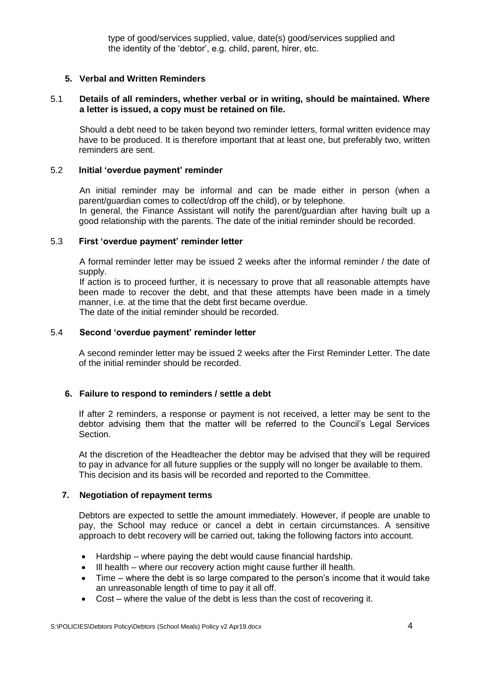type of good/services supplied, value, date(s) good/services supplied and the identity of the 'debtor', e.g. child, parent, hirer, etc.

#### **5. Verbal and Written Reminders**

#### 5.1 **Details of all reminders, whether verbal or in writing, should be maintained. Where a letter is issued, a copy must be retained on file.**

Should a debt need to be taken beyond two reminder letters, formal written evidence may have to be produced. It is therefore important that at least one, but preferably two, written reminders are sent.

#### 5.2 **Initial 'overdue payment' reminder**

An initial reminder may be informal and can be made either in person (when a parent/guardian comes to collect/drop off the child), or by telephone. In general, the Finance Assistant will notify the parent/guardian after having built up a

good relationship with the parents. The date of the initial reminder should be recorded.

#### 5.3 **First 'overdue payment' reminder letter**

A formal reminder letter may be issued 2 weeks after the informal reminder / the date of supply.

If action is to proceed further, it is necessary to prove that all reasonable attempts have been made to recover the debt, and that these attempts have been made in a timely manner, i.e. at the time that the debt first became overdue. The date of the initial reminder should be recorded.

#### 5.4 **Second 'overdue payment' reminder letter**

A second reminder letter may be issued 2 weeks after the First Reminder Letter. The date of the initial reminder should be recorded.

#### **6. Failure to respond to reminders / settle a debt**

If after 2 reminders, a response or payment is not received, a letter may be sent to the debtor advising them that the matter will be referred to the Council's Legal Services Section.

At the discretion of the Headteacher the debtor may be advised that they will be required to pay in advance for all future supplies or the supply will no longer be available to them. This decision and its basis will be recorded and reported to the Committee.

#### **7. Negotiation of repayment terms**

Debtors are expected to settle the amount immediately. However, if people are unable to pay, the School may reduce or cancel a debt in certain circumstances. A sensitive approach to debt recovery will be carried out, taking the following factors into account.

- Hardship where paying the debt would cause financial hardship.
- Ill health where our recovery action might cause further ill health.
- Time where the debt is so large compared to the person's income that it would take an unreasonable length of time to pay it all off.
- Cost where the value of the debt is less than the cost of recovering it.